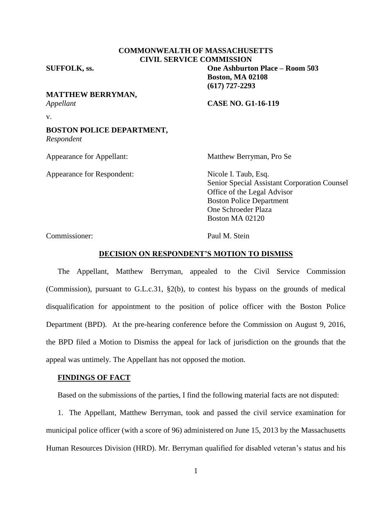## **COMMONWEALTH OF MASSACHUSETTS CIVIL SERVICE COMMISSION**

**SUFFOLK, ss. One Ashburton Place – Room 503**

# **MATTHEW BERRYMAN,**

*Appellant* **CASE NO. G1-16-119**

**Boston, MA 02108 (617) 727-2293**

v.

### **BOSTON POLICE DEPARTMENT,** *Respondent*

Appearance for Respondent: Nicole I. Taub, Esq.

Appearance for Appellant: Matthew Berryman, Pro Se

Senior Special Assistant Corporation Counsel Office of the Legal Advisor Boston Police Department One Schroeder Plaza Boston MA 02120

Commissioner: Paul M. Stein

### **DECISION ON RESPONDENT'S MOTION TO DISMISS**

The Appellant, Matthew Berryman, appealed to the Civil Service Commission (Commission), pursuant to G.L.c.31, §2(b), to contest his bypass on the grounds of medical disqualification for appointment to the position of police officer with the Boston Police Department (BPD). At the pre-hearing conference before the Commission on August 9, 2016, the BPD filed a Motion to Dismiss the appeal for lack of jurisdiction on the grounds that the appeal was untimely. The Appellant has not opposed the motion.

## **FINDINGS OF FACT**

Based on the submissions of the parties, I find the following material facts are not disputed:

1. The Appellant, Matthew Berryman, took and passed the civil service examination for municipal police officer (with a score of 96) administered on June 15, 2013 by the Massachusetts Human Resources Division (HRD). Mr. Berryman qualified for disabled veteran's status and his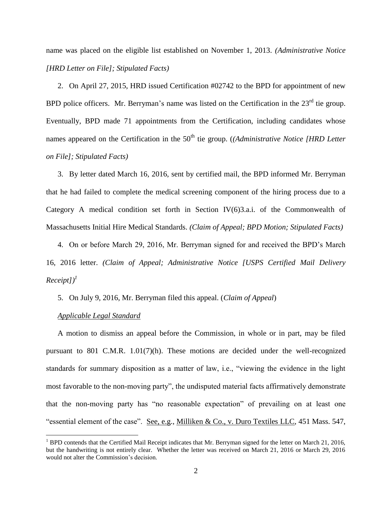name was placed on the eligible list established on November 1, 2013. *(Administrative Notice [HRD Letter on File]; Stipulated Facts)*

2. On April 27, 2015, HRD issued Certification #02742 to the BPD for appointment of new BPD police officers. Mr. Berryman's name was listed on the Certification in the  $23<sup>rd</sup>$  tie group. Eventually, BPD made 71 appointments from the Certification, including candidates whose names appeared on the Certification in the 50<sup>th</sup> tie group. (*(Administrative Notice [HRD Letter on File]; Stipulated Facts)*

3. By letter dated March 16, 2016, sent by certified mail, the BPD informed Mr. Berryman that he had failed to complete the medical screening component of the hiring process due to a Category A medical condition set forth in Section IV $(6)$ 3.a.i. of the Commonwealth of Massachusetts Initial Hire Medical Standards. *(Claim of Appeal; BPD Motion; Stipulated Facts)*

4. On or before March 29, 2016, Mr. Berryman signed for and received the BPD's March 16, 2016 letter. *(Claim of Appeal; Administrative Notice [USPS Certified Mail Delivery*   $Receipt]$ <sup>*1*</sup>

5. On July 9, 2016, Mr. Berryman filed this appeal. (*Claim of Appeal*)

*Applicable Legal Standard* 

 $\overline{a}$ 

A motion to dismiss an appeal before the Commission, in whole or in part, may be filed pursuant to 801 C.M.R. 1.01(7)(h). These motions are decided under the well-recognized standards for summary disposition as a matter of law, i.e., "viewing the evidence in the light most favorable to the non-moving party", the undisputed material facts affirmatively demonstrate that the non-moving party has "no reasonable expectation" of prevailing on at least one "essential element of the case". See, e.g., Milliken & Co., v. Duro Textiles LLC, 451 Mass. 547,

 $1$  BPD contends that the Certified Mail Receipt indicates that Mr. Berryman signed for the letter on March 21, 2016, but the handwriting is not entirely clear. Whether the letter was received on March 21, 2016 or March 29, 2016 would not alter the Commission's decision.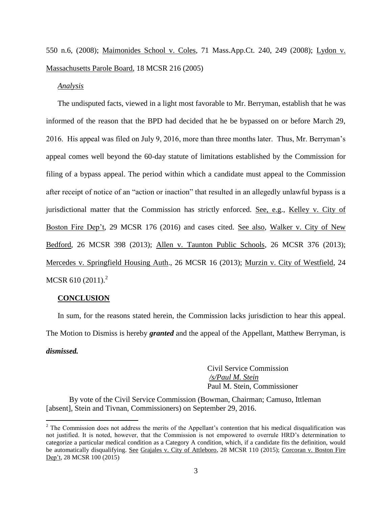550 n.6, (2008); Maimonides School v. Coles, 71 Mass.App.Ct. 240, 249 (2008); Lydon v. Massachusetts Parole Board, 18 MCSR 216 (2005)

#### *Analysis*

The undisputed facts, viewed in a light most favorable to Mr. Berryman, establish that he was informed of the reason that the BPD had decided that he be bypassed on or before March 29, 2016. His appeal was filed on July 9, 2016, more than three months later. Thus, Mr. Berryman's appeal comes well beyond the 60-day statute of limitations established by the Commission for filing of a bypass appeal. The period within which a candidate must appeal to the Commission after receipt of notice of an "action or inaction" that resulted in an allegedly unlawful bypass is a jurisdictional matter that the Commission has strictly enforced. See, e.g., Kelley v. City of Boston Fire Dep't, 29 MCSR 176 (2016) and cases cited. See also, Walker v. City of New Bedford, 26 MCSR 398 (2013); Allen v. Taunton Public Schools, 26 MCSR 376 (2013); Mercedes v. Springfield Housing Auth., 26 MCSR 16 (2013); Murzin v. City of Westfield, 24 MCSR 610  $(2011)^2$ 

### **CONCLUSION**

 $\overline{a}$ 

In sum, for the reasons stated herein, the Commission lacks jurisdiction to hear this appeal. The Motion to Dismiss is hereby *granted* and the appeal of the Appellant, Matthew Berryman, is *dismissed.*

> Civil Service Commission */s/Paul M. Stein*  Paul M. Stein, Commissioner

By vote of the Civil Service Commission (Bowman, Chairman; Camuso, Ittleman [absent], Stein and Tivnan, Commissioners) on September 29, 2016.

 $2^2$  The Commission does not address the merits of the Appellant's contention that his medical disqualification was not justified. It is noted, however, that the Commission is not empowered to overrule HRD's determination to categorize a particular medical condition as a Category A condition, which, if a candidate fits the definition, would be automatically disqualifying. See Grajales v. City of Attleboro, 28 MCSR 110 (2015); Corcoran v. Boston Fire Dep't, 28 MCSR 100 (2015)